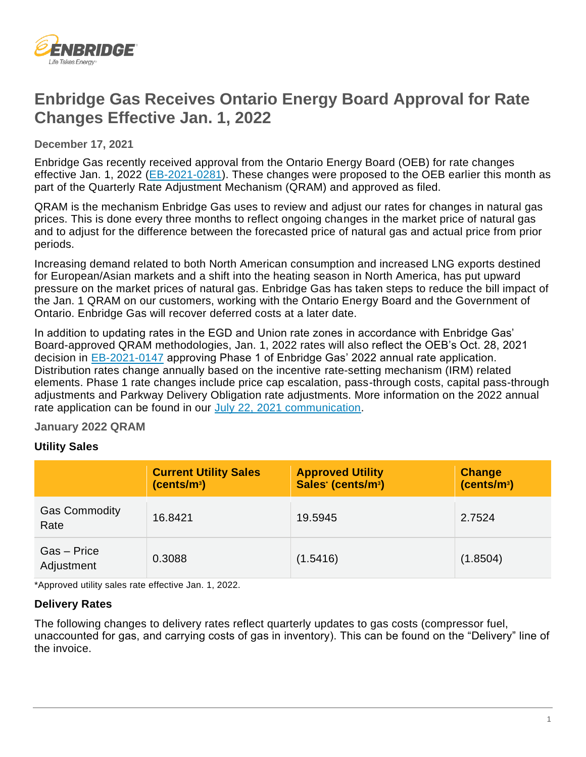

# **Enbridge Gas Receives Ontario Energy Board Approval for Rate Changes Effective Jan. 1, 2022**

**December 17, 2021**

Enbridge Gas recently received approval from the Ontario Energy Board (OEB) for rate changes effective Jan. 1, 2022 [\(EB-2021-0281\)](https://www.enbridgegas.com/about-enbridge-gas/regulatory). These changes were proposed to the OEB earlier this month as part of the Quarterly Rate Adjustment Mechanism (QRAM) and approved as filed.

QRAM is the mechanism Enbridge Gas uses to review and adjust our rates for changes in natural gas prices. This is done every three months to reflect ongoing changes in the market price of natural gas and to adjust for the difference between the forecasted price of natural gas and actual price from prior periods.

Increasing demand related to both North American consumption and increased LNG exports destined for European/Asian markets and a shift into the heating season in North America, has put upward pressure on the market prices of natural gas. Enbridge Gas has taken steps to reduce the bill impact of the Jan. 1 QRAM on our customers, working with the Ontario Energy Board and the Government of Ontario. Enbridge Gas will recover deferred costs at a later date.

In addition to updating rates in the EGD and Union rate zones in accordance with Enbridge Gas' Board-approved QRAM methodologies, Jan. 1, 2022 rates will also reflect the OEB's Oct. 28, 2021 decision in [EB-2021-0147](https://www.enbridgegas.com/about-enbridge-gas/regulatory) approving Phase 1 of Enbridge Gas' 2022 annual rate application. Distribution rates change annually based on the incentive rate-setting mechanism (IRM) related elements. Phase 1 rate changes include price cap escalation, pass-through costs, capital pass-through adjustments and Parkway Delivery Obligation rate adjustments. More information on the 2022 annual rate application can be found in our [July 22, 2021 communication.](https://www.enbridgegas.com/-/media/Extranet-Pages/Business-and-industrial/Newsletters/large-volume-newsletter/2021/lv-newsletter-july222021-south.ashx?rev=247a37b7e1814400b858f02cf19d77bd&hash=408AC6CBE6D5BE0CB94744464A35E35F)

## **January 2022 QRAM**

## **Utility Sales**

|                              | <b>Current Utility Sales (cents/m<sup>3</sup>)</b> | <b>Approved Utility</b><br>Sales <sup>*</sup> (cents/m <sup>3</sup> ) | <b>Change</b><br>(cents/m <sup>3</sup> ) |
|------------------------------|----------------------------------------------------|-----------------------------------------------------------------------|------------------------------------------|
| <b>Gas Commodity</b><br>Rate | 16.8421                                            | 19.5945                                                               | 2.7524                                   |
| Gas - Price<br>Adjustment    | 0.3088                                             | (1.5416)                                                              | (1.8504)                                 |

\*Approved utility sales rate effective Jan. 1, 2022.

## **Delivery Rates**

The following changes to delivery rates reflect quarterly updates to gas costs (compressor fuel, unaccounted for gas, and carrying costs of gas in inventory). This can be found on the "Delivery" line of the invoice.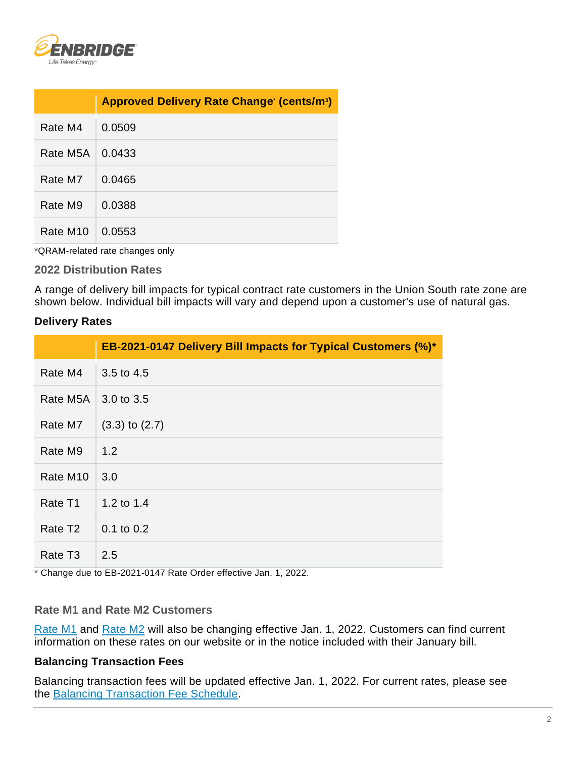

|                      | Approved Delivery Rate Change (cents/m <sup>3</sup> ) |
|----------------------|-------------------------------------------------------|
| Rate M4              | 0.0509                                                |
| Rate M5A             | 0.0433                                                |
| Rate M7              | 0.0465                                                |
| Rate M9              | 0.0388                                                |
| Rate M <sub>10</sub> | 0.0553                                                |

\*QRAM-related rate changes only

#### **2022 Distribution Rates**

A range of delivery bill impacts for typical contract rate customers in the Union South rate zone are shown below. Individual bill impacts will vary and depend upon a customer's use of natural gas.

### **Delivery Rates**

|                      | EB-2021-0147 Delivery Bill Impacts for Typical Customers (%)* |
|----------------------|---------------------------------------------------------------|
| Rate M4              | 3.5 to 4.5                                                    |
| Rate M5A             | 3.0 to 3.5                                                    |
| Rate M7              | $(3.3)$ to $(2.7)$                                            |
| Rate M9              | 1.2                                                           |
| Rate M <sub>10</sub> | 3.0                                                           |
| Rate T1              | 1.2 to 1.4                                                    |
| Rate T <sub>2</sub>  | $0.1$ to $0.2$                                                |
| Rate T <sub>3</sub>  | 2.5                                                           |

\* Change due to EB-2021-0147 Rate Order effective Jan. 1, 2022.

#### **Rate M1 and Rate M2 Customers**

[Rate M1](https://www.enbridgegas.com/residential/my-account/rates) and [Rate M2](https://www.enbridgegas.com/business-industrial/business/rates) will also be changing effective Jan. 1, 2022. Customers can find current information on these rates on our website or in the notice included with their January bill.

#### **Balancing Transaction Fees**

Balancing transaction fees will be updated effective Jan. 1, 2022. For current rates, please see the [Balancing Transaction Fee Schedule.](https://www.enbridgegas.com/-/media/Extranet-Pages/Business-and-industrial/Commercial-and-Industrial/Large-Volume-Rates-and-Services/Balancing-services/FeeSchedule.ashx?rev=74456260015d4cd5adfee2ff7f07e567&hash=2988592CE80BC1A71DCDDA6EB8B8E5C1)